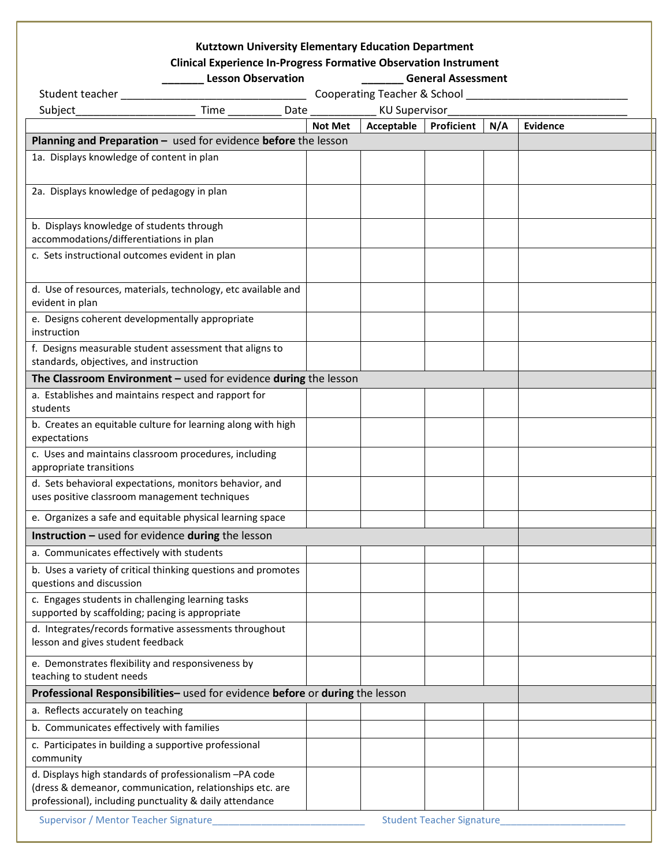## **Kutztown University Elementary Education Department**

## **Clinical Experience In-Progress Formative Observation Instrument**

|                                                                                                      | <b>Lesson Observation</b>                                     | <b>General Assessment</b>    |               |                                  |     |          |  |
|------------------------------------------------------------------------------------------------------|---------------------------------------------------------------|------------------------------|---------------|----------------------------------|-----|----------|--|
| Student teacher                                                                                      |                                                               | Cooperating Teacher & School |               |                                  |     |          |  |
| Subject_                                                                                             |                                                               |                              | KU Supervisor |                                  |     |          |  |
|                                                                                                      |                                                               | <b>Not Met</b>               | Acceptable    | <b>Proficient</b>                | N/A | Evidence |  |
| Planning and Preparation - used for evidence before the lesson                                       |                                                               |                              |               |                                  |     |          |  |
| 1a. Displays knowledge of content in plan                                                            |                                                               |                              |               |                                  |     |          |  |
|                                                                                                      |                                                               |                              |               |                                  |     |          |  |
|                                                                                                      |                                                               |                              |               |                                  |     |          |  |
| 2a. Displays knowledge of pedagogy in plan                                                           |                                                               |                              |               |                                  |     |          |  |
|                                                                                                      |                                                               |                              |               |                                  |     |          |  |
| b. Displays knowledge of students through                                                            |                                                               |                              |               |                                  |     |          |  |
| accommodations/differentiations in plan                                                              |                                                               |                              |               |                                  |     |          |  |
| c. Sets instructional outcomes evident in plan                                                       |                                                               |                              |               |                                  |     |          |  |
|                                                                                                      |                                                               |                              |               |                                  |     |          |  |
| d. Use of resources, materials, technology, etc available and                                        |                                                               |                              |               |                                  |     |          |  |
| evident in plan                                                                                      |                                                               |                              |               |                                  |     |          |  |
| e. Designs coherent developmentally appropriate                                                      |                                                               |                              |               |                                  |     |          |  |
| instruction                                                                                          |                                                               |                              |               |                                  |     |          |  |
| f. Designs measurable student assessment that aligns to                                              |                                                               |                              |               |                                  |     |          |  |
| standards, objectives, and instruction                                                               |                                                               |                              |               |                                  |     |          |  |
| The Classroom Environment $-$ used for evidence during the lesson                                    |                                                               |                              |               |                                  |     |          |  |
| a. Establishes and maintains respect and rapport for                                                 |                                                               |                              |               |                                  |     |          |  |
| students                                                                                             |                                                               |                              |               |                                  |     |          |  |
| b. Creates an equitable culture for learning along with high                                         |                                                               |                              |               |                                  |     |          |  |
| expectations                                                                                         |                                                               |                              |               |                                  |     |          |  |
| c. Uses and maintains classroom procedures, including                                                |                                                               |                              |               |                                  |     |          |  |
| appropriate transitions                                                                              |                                                               |                              |               |                                  |     |          |  |
| d. Sets behavioral expectations, monitors behavior, and                                              |                                                               |                              |               |                                  |     |          |  |
| uses positive classroom management techniques                                                        |                                                               |                              |               |                                  |     |          |  |
| e. Organizes a safe and equitable physical learning space                                            |                                                               |                              |               |                                  |     |          |  |
| Instruction - used for evidence during the lesson                                                    |                                                               |                              |               |                                  |     |          |  |
| a. Communicates effectively with students                                                            |                                                               |                              |               |                                  |     |          |  |
|                                                                                                      |                                                               |                              |               |                                  |     |          |  |
| questions and discussion                                                                             | b. Uses a variety of critical thinking questions and promotes |                              |               |                                  |     |          |  |
|                                                                                                      |                                                               |                              |               |                                  |     |          |  |
| c. Engages students in challenging learning tasks<br>supported by scaffolding; pacing is appropriate |                                                               |                              |               |                                  |     |          |  |
| d. Integrates/records formative assessments throughout                                               |                                                               |                              |               |                                  |     |          |  |
| lesson and gives student feedback                                                                    |                                                               |                              |               |                                  |     |          |  |
|                                                                                                      |                                                               |                              |               |                                  |     |          |  |
| e. Demonstrates flexibility and responsiveness by                                                    |                                                               |                              |               |                                  |     |          |  |
| teaching to student needs                                                                            |                                                               |                              |               |                                  |     |          |  |
| Professional Responsibilities- used for evidence before or during the lesson                         |                                                               |                              |               |                                  |     |          |  |
| a. Reflects accurately on teaching                                                                   |                                                               |                              |               |                                  |     |          |  |
| b. Communicates effectively with families                                                            |                                                               |                              |               |                                  |     |          |  |
| c. Participates in building a supportive professional                                                |                                                               |                              |               |                                  |     |          |  |
| community                                                                                            |                                                               |                              |               |                                  |     |          |  |
| d. Displays high standards of professionalism-PA code                                                |                                                               |                              |               |                                  |     |          |  |
| (dress & demeanor, communication, relationships etc. are                                             |                                                               |                              |               |                                  |     |          |  |
| professional), including punctuality & daily attendance                                              |                                                               |                              |               |                                  |     |          |  |
| Supervisor / Mentor Teacher Signature                                                                |                                                               |                              |               | <b>Student Teacher Signature</b> |     |          |  |